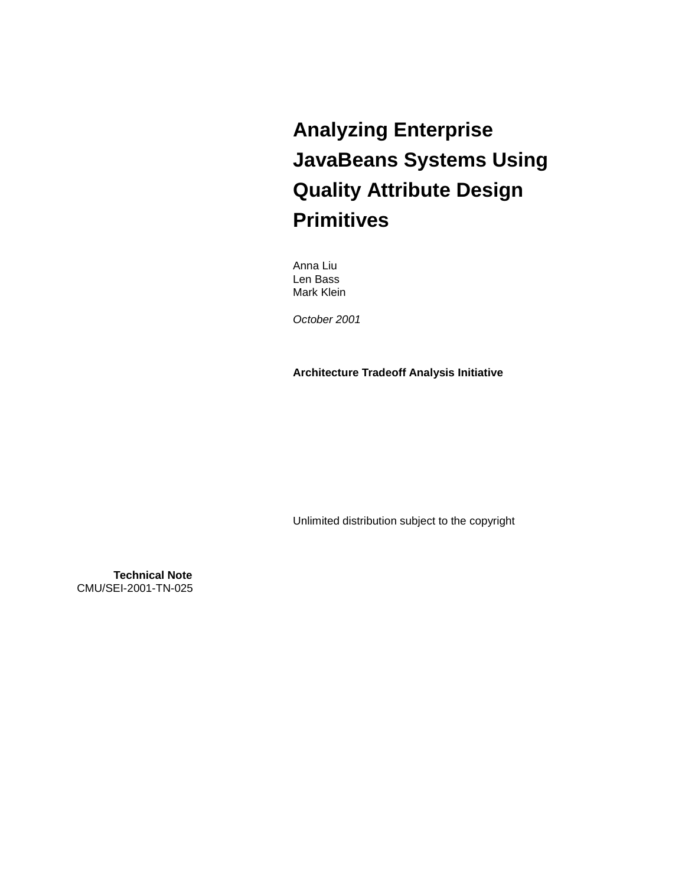# **Analyzing Enterprise JavaBeans Systems Using Quality Attribute Design Primitives**

Anna Liu Len Bass Mark Klein

*October 2001* 

**Architecture Tradeoff Analysis Initiative** 

Unlimited distribution subject to the copyright

**Technical Note** CMU/SEI-2001-TN-025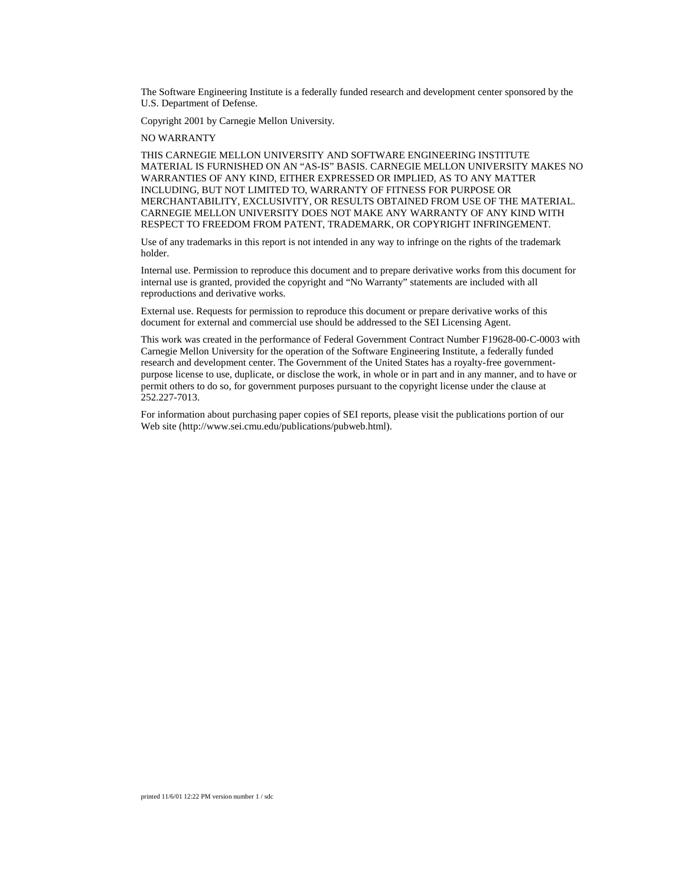The Software Engineering Institute is a federally funded research and development center sponsored by the U.S. Department of Defense.

Copyright 2001 by Carnegie Mellon University.

NO WARRANTY

THIS CARNEGIE MELLON UNIVERSITY AND SOFTWARE ENGINEERING INSTITUTE MATERIAL IS FURNISHED ON AN "AS-IS" BASIS. CARNEGIE MELLON UNIVERSITY MAKES NO WARRANTIES OF ANY KIND, EITHER EXPRESSED OR IMPLIED, AS TO ANY MATTER INCLUDING, BUT NOT LIMITED TO, WARRANTY OF FITNESS FOR PURPOSE OR MERCHANTABILITY, EXCLUSIVITY, OR RESULTS OBTAINED FROM USE OF THE MATERIAL. CARNEGIE MELLON UNIVERSITY DOES NOT MAKE ANY WARRANTY OF ANY KIND WITH RESPECT TO FREEDOM FROM PATENT, TRADEMARK, OR COPYRIGHT INFRINGEMENT.

Use of any trademarks in this report is not intended in any way to infringe on the rights of the trademark holder.

Internal use. Permission to reproduce this document and to prepare derivative works from this document for internal use is granted, provided the copyright and "No Warranty" statements are included with all reproductions and derivative works.

External use. Requests for permission to reproduce this document or prepare derivative works of this document for external and commercial use should be addressed to the SEI Licensing Agent.

This work was created in the performance of Federal Government Contract Number F19628-00-C-0003 with Carnegie Mellon University for the operation of the Software Engineering Institute, a federally funded research and development center. The Government of the United States has a royalty-free governmentpurpose license to use, duplicate, or disclose the work, in whole or in part and in any manner, and to have or permit others to do so, for government purposes pursuant to the copyright license under the clause at 252.227-7013.

For information about purchasing paper copies of SEI reports, please visit the publications portion of our Web site (http://www.sei.cmu.edu/publications/pubweb.html).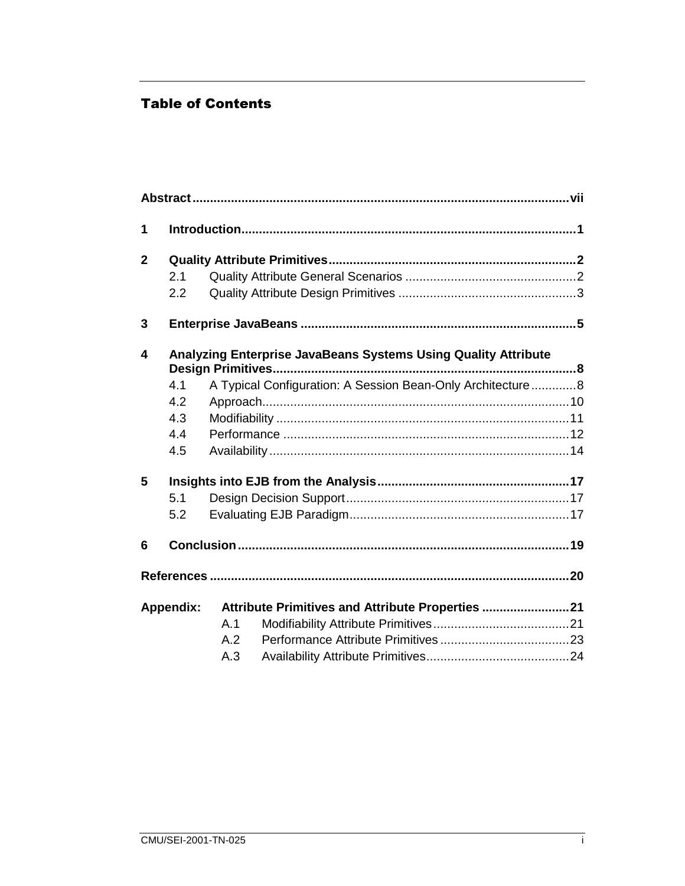## **Table of Contents**

| 1            |                  |                                                                |  |
|--------------|------------------|----------------------------------------------------------------|--|
| $\mathbf{2}$ |                  |                                                                |  |
|              | 2.1              |                                                                |  |
|              | 2.2              |                                                                |  |
| 3            |                  |                                                                |  |
| 4            |                  | Analyzing Enterprise JavaBeans Systems Using Quality Attribute |  |
|              | 4.1              | A Typical Configuration: A Session Bean-Only Architecture 8    |  |
|              | 4.2              |                                                                |  |
|              | 4.3              |                                                                |  |
|              | 4.4              |                                                                |  |
|              | 4.5              |                                                                |  |
| 5            |                  |                                                                |  |
|              | 5.1              |                                                                |  |
|              | 5.2              |                                                                |  |
| 6            |                  |                                                                |  |
|              |                  |                                                                |  |
|              | <b>Appendix:</b> | Attribute Primitives and Attribute Properties 21               |  |
|              |                  | A.1                                                            |  |
|              |                  | A.2                                                            |  |
|              |                  | A.3                                                            |  |
|              |                  |                                                                |  |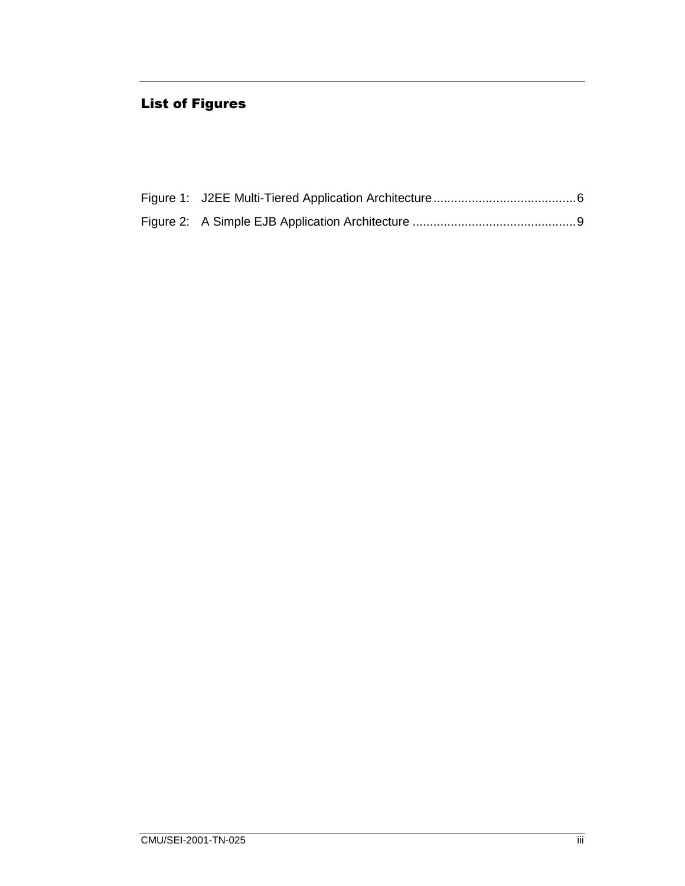## **List of Figures**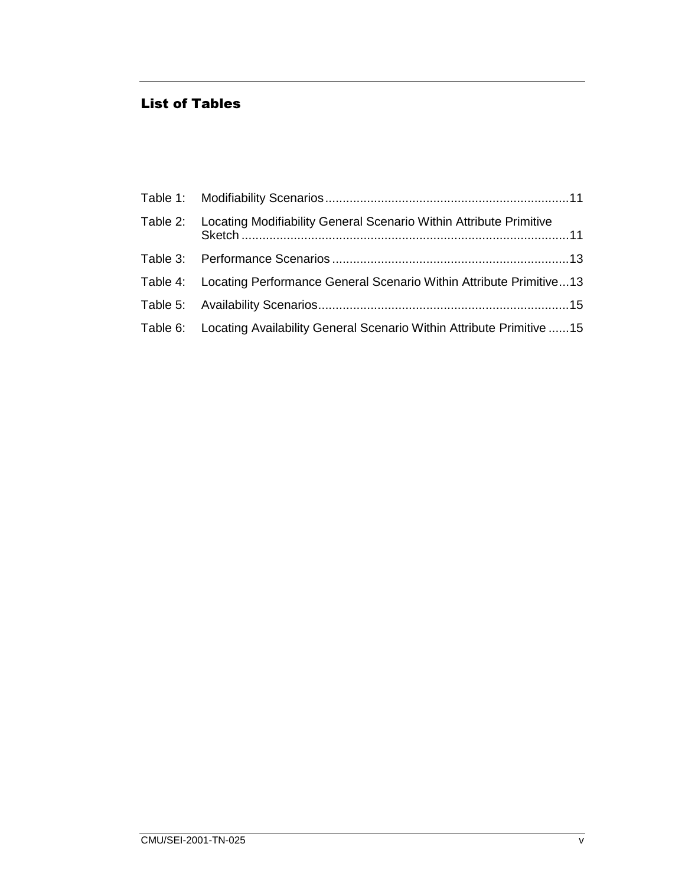#### **List of Tables**

| Table 2: Locating Modifiability General Scenario Within Attribute Primitive    |  |
|--------------------------------------------------------------------------------|--|
|                                                                                |  |
| Table 4: Locating Performance General Scenario Within Attribute Primitive13    |  |
|                                                                                |  |
| Table 6: Locating Availability General Scenario Within Attribute Primitive  15 |  |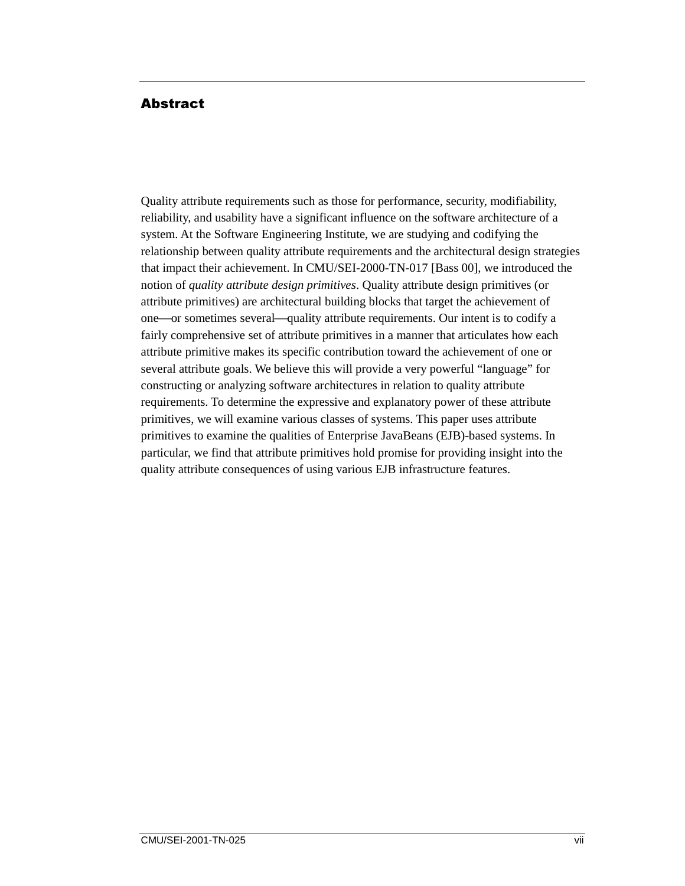#### Abstract

Quality attribute requirements such as those for performance, security, modifiability, reliability, and usability have a significant influence on the software architecture of a system. At the Software Engineering Institute, we are studying and codifying the relationship between quality attribute requirements and the architectural design strategies that impact their achievement. In CMU/SEI-2000-TN-017 [Bass 00], we introduced the notion of *quality attribute design primitives*. Quality attribute design primitives (or attribute primitives) are architectural building blocks that target the achievement of one—or sometimes several—quality attribute requirements. Our intent is to codify a fairly comprehensive set of attribute primitives in a manner that articulates how each attribute primitive makes its specific contribution toward the achievement of one or several attribute goals. We believe this will provide a very powerful "language" for constructing or analyzing software architectures in relation to quality attribute requirements. To determine the expressive and explanatory power of these attribute primitives, we will examine various classes of systems. This paper uses attribute primitives to examine the qualities of Enterprise JavaBeans (EJB)-based systems. In particular, we find that attribute primitives hold promise for providing insight into the quality attribute consequences of using various EJB infrastructure features.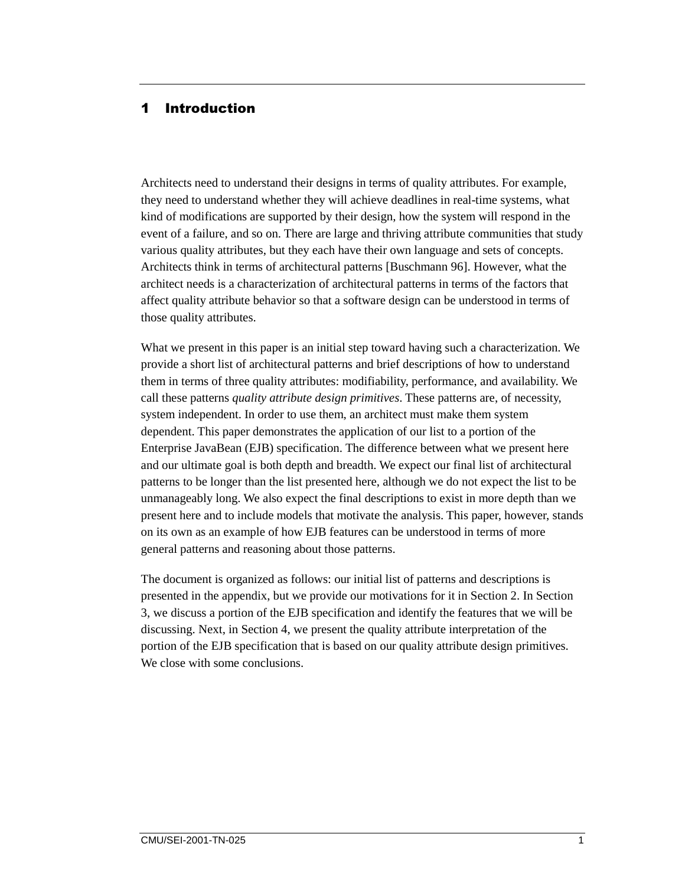#### 1 Introduction

Architects need to understand their designs in terms of quality attributes. For example, they need to understand whether they will achieve deadlines in real-time systems, what kind of modifications are supported by their design, how the system will respond in the event of a failure, and so on. There are large and thriving attribute communities that study various quality attributes, but they each have their own language and sets of concepts. Architects think in terms of architectural patterns [Buschmann 96]. However, what the architect needs is a characterization of architectural patterns in terms of the factors that affect quality attribute behavior so that a software design can be understood in terms of those quality attributes.

What we present in this paper is an initial step toward having such a characterization. We provide a short list of architectural patterns and brief descriptions of how to understand them in terms of three quality attributes: modifiability, performance, and availability. We call these patterns *quality attribute design primitives*. These patterns are, of necessity, system independent. In order to use them, an architect must make them system dependent. This paper demonstrates the application of our list to a portion of the Enterprise JavaBean (EJB) specification. The difference between what we present here and our ultimate goal is both depth and breadth. We expect our final list of architectural patterns to be longer than the list presented here, although we do not expect the list to be unmanageably long. We also expect the final descriptions to exist in more depth than we present here and to include models that motivate the analysis. This paper, however, stands on its own as an example of how EJB features can be understood in terms of more general patterns and reasoning about those patterns.

The document is organized as follows: our initial list of patterns and descriptions is presented in the appendix, but we provide our motivations for it in Section 2. In Section 3, we discuss a portion of the EJB specification and identify the features that we will be discussing. Next, in Section 4, we present the quality attribute interpretation of the portion of the EJB specification that is based on our quality attribute design primitives. We close with some conclusions.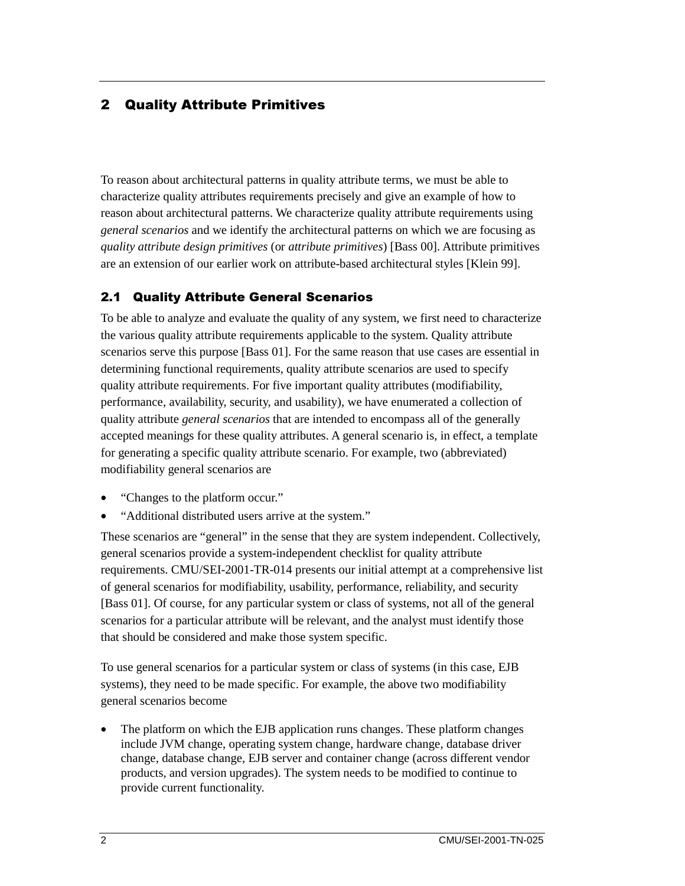#### **2 Quality Attribute Primitives**

To reason about architectural patterns in quality attribute terms, we must be able to characterize quality attributes requirements precisely and give an example of how to reason about architectural patterns. We characterize quality attribute requirements using *general scenarios* and we identify the architectural patterns on which we are focusing as *quality attribute design primitives* (or *attribute primitives*) [Bass 00]. Attribute primitives are an extension of our earlier work on attribute-based architectural styles [Klein 99].

#### 2.1 Quality Attribute General Scenarios

To be able to analyze and evaluate the quality of any system, we first need to characterize the various quality attribute requirements applicable to the system. Quality attribute scenarios serve this purpose [Bass 01]. For the same reason that use cases are essential in determining functional requirements, quality attribute scenarios are used to specify quality attribute requirements. For five important quality attributes (modifiability, performance, availability, security, and usability), we have enumerated a collection of quality attribute *general scenarios* that are intended to encompass all of the generally accepted meanings for these quality attributes. A general scenario is, in effect, a template for generating a specific quality attribute scenario. For example, two (abbreviated) modifiability general scenarios are

- "Changes to the platform occur."
- "Additional distributed users arrive at the system."

These scenarios are "general" in the sense that they are system independent. Collectively, general scenarios provide a system-independent checklist for quality attribute requirements. CMU/SEI-2001-TR-014 presents our initial attempt at a comprehensive list of general scenarios for modifiability, usability, performance, reliability, and security [Bass 01]. Of course, for any particular system or class of systems, not all of the general scenarios for a particular attribute will be relevant, and the analyst must identify those that should be considered and make those system specific.

To use general scenarios for a particular system or class of systems (in this case, EJB systems), they need to be made specific. For example, the above two modifiability general scenarios become

• The platform on which the EJB application runs changes. These platform changes include JVM change, operating system change, hardware change, database driver change, database change, EJB server and container change (across different vendor products, and version upgrades). The system needs to be modified to continue to provide current functionality.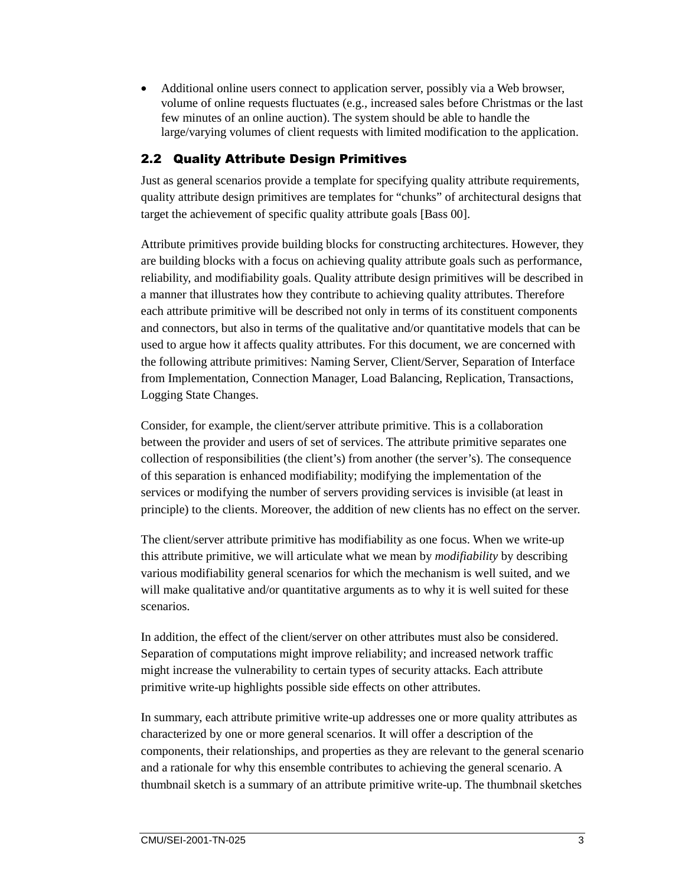• Additional online users connect to application server, possibly via a Web browser, volume of online requests fluctuates (e.g., increased sales before Christmas or the last few minutes of an online auction). The system should be able to handle the large/varying volumes of client requests with limited modification to the application.

#### **2.2 Quality Attribute Design Primitives**

Just as general scenarios provide a template for specifying quality attribute requirements, quality attribute design primitives are templates for "chunks" of architectural designs that target the achievement of specific quality attribute goals [Bass 00].

Attribute primitives provide building blocks for constructing architectures. However, they are building blocks with a focus on achieving quality attribute goals such as performance, reliability, and modifiability goals. Quality attribute design primitives will be described in a manner that illustrates how they contribute to achieving quality attributes. Therefore each attribute primitive will be described not only in terms of its constituent components and connectors, but also in terms of the qualitative and/or quantitative models that can be used to argue how it affects quality attributes. For this document, we are concerned with the following attribute primitives: Naming Server, Client/Server, Separation of Interface from Implementation, Connection Manager, Load Balancing, Replication, Transactions, Logging State Changes.

Consider, for example, the client/server attribute primitive. This is a collaboration between the provider and users of set of services. The attribute primitive separates one collection of responsibilities (the client's) from another (the server's). The consequence of this separation is enhanced modifiability; modifying the implementation of the services or modifying the number of servers providing services is invisible (at least in principle) to the clients. Moreover, the addition of new clients has no effect on the server.

The client/server attribute primitive has modifiability as one focus. When we write-up this attribute primitive, we will articulate what we mean by *modifiability* by describing various modifiability general scenarios for which the mechanism is well suited, and we will make qualitative and/or quantitative arguments as to why it is well suited for these scenarios.

In addition, the effect of the client/server on other attributes must also be considered. Separation of computations might improve reliability; and increased network traffic might increase the vulnerability to certain types of security attacks. Each attribute primitive write-up highlights possible side effects on other attributes.

In summary, each attribute primitive write-up addresses one or more quality attributes as characterized by one or more general scenarios. It will offer a description of the components, their relationships, and properties as they are relevant to the general scenario and a rationale for why this ensemble contributes to achieving the general scenario. A thumbnail sketch is a summary of an attribute primitive write-up. The thumbnail sketches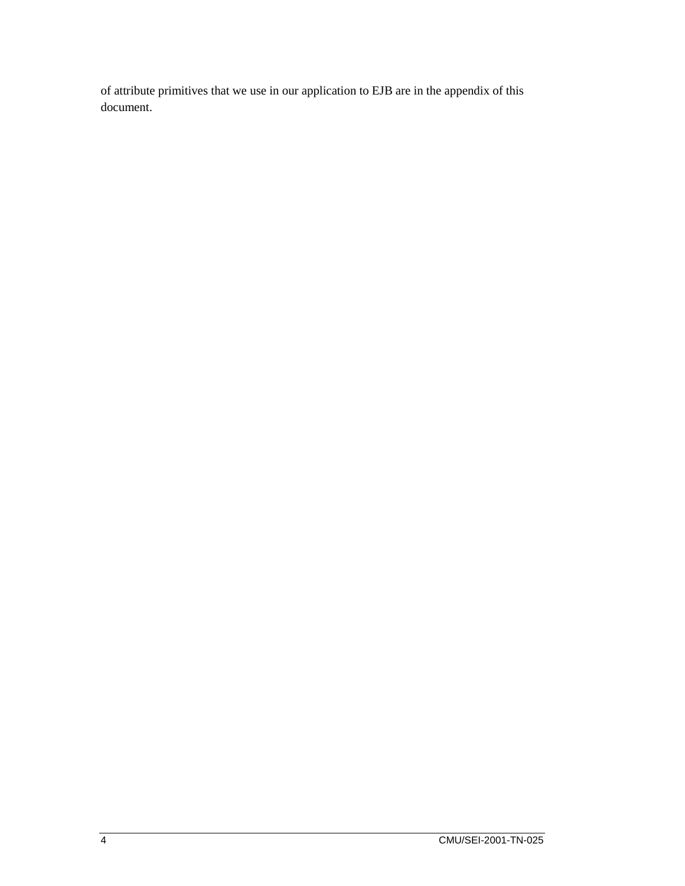of attribute primitives that we use in our application to EJB are in the appendix of this document.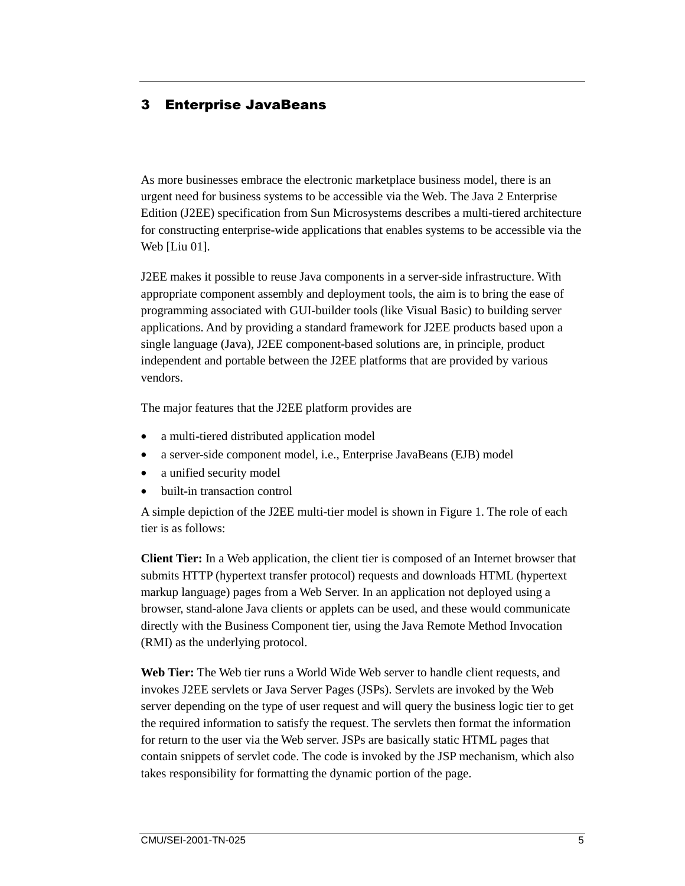#### 3 Enterprise JavaBeans

As more businesses embrace the electronic marketplace business model, there is an urgent need for business systems to be accessible via the Web. The Java 2 Enterprise Edition (J2EE) specification from Sun Microsystems describes a multi-tiered architecture for constructing enterprise-wide applications that enables systems to be accessible via the Web [Liu 01].

J2EE makes it possible to reuse Java components in a server-side infrastructure. With appropriate component assembly and deployment tools, the aim is to bring the ease of programming associated with GUI-builder tools (like Visual Basic) to building server applications. And by providing a standard framework for J2EE products based upon a single language (Java), J2EE component-based solutions are, in principle, product independent and portable between the J2EE platforms that are provided by various vendors.

The major features that the J2EE platform provides are

- a multi-tiered distributed application model
- a server-side component model, i.e., Enterprise JavaBeans (EJB) model
- a unified security model
- built-in transaction control

A simple depiction of the J2EE multi-tier model is shown in Figure 1. The role of each tier is as follows:

**Client Tier:** In a Web application, the client tier is composed of an Internet browser that submits HTTP (hypertext transfer protocol) requests and downloads HTML (hypertext markup language) pages from a Web Server. In an application not deployed using a browser, stand-alone Java clients or applets can be used, and these would communicate directly with the Business Component tier, using the Java Remote Method Invocation (RMI) as the underlying protocol.

**Web Tier:** The Web tier runs a World Wide Web server to handle client requests, and invokes J2EE servlets or Java Server Pages (JSPs). Servlets are invoked by the Web server depending on the type of user request and will query the business logic tier to get the required information to satisfy the request. The servlets then format the information for return to the user via the Web server. JSPs are basically static HTML pages that contain snippets of servlet code. The code is invoked by the JSP mechanism, which also takes responsibility for formatting the dynamic portion of the page.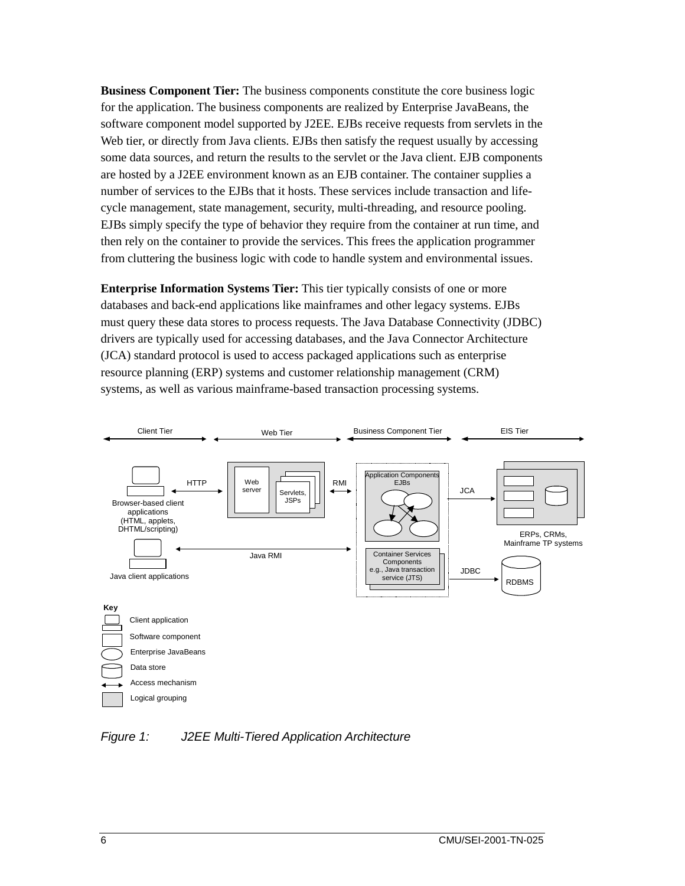**Business Component Tier:** The business components constitute the core business logic for the application. The business components are realized by Enterprise JavaBeans, the software component model supported by J2EE. EJBs receive requests from servlets in the Web tier, or directly from Java clients. EJBs then satisfy the request usually by accessing some data sources, and return the results to the servlet or the Java client. EJB components are hosted by a J2EE environment known as an EJB container. The container supplies a number of services to the EJBs that it hosts. These services include transaction and lifecycle management, state management, security, multi-threading, and resource pooling. EJBs simply specify the type of behavior they require from the container at run time, and then rely on the container to provide the services. This frees the application programmer from cluttering the business logic with code to handle system and environmental issues.

**Enterprise Information Systems Tier:** This tier typically consists of one or more databases and back-end applications like mainframes and other legacy systems. EJBs must query these data stores to process requests. The Java Database Connectivity (JDBC) drivers are typically used for accessing databases, and the Java Connector Architecture (JCA) standard protocol is used to access packaged applications such as enterprise resource planning (ERP) systems and customer relationship management (CRM) systems, as well as various mainframe-based transaction processing systems.



*Figure 1: J2EE Multi-Tiered Application Architecture*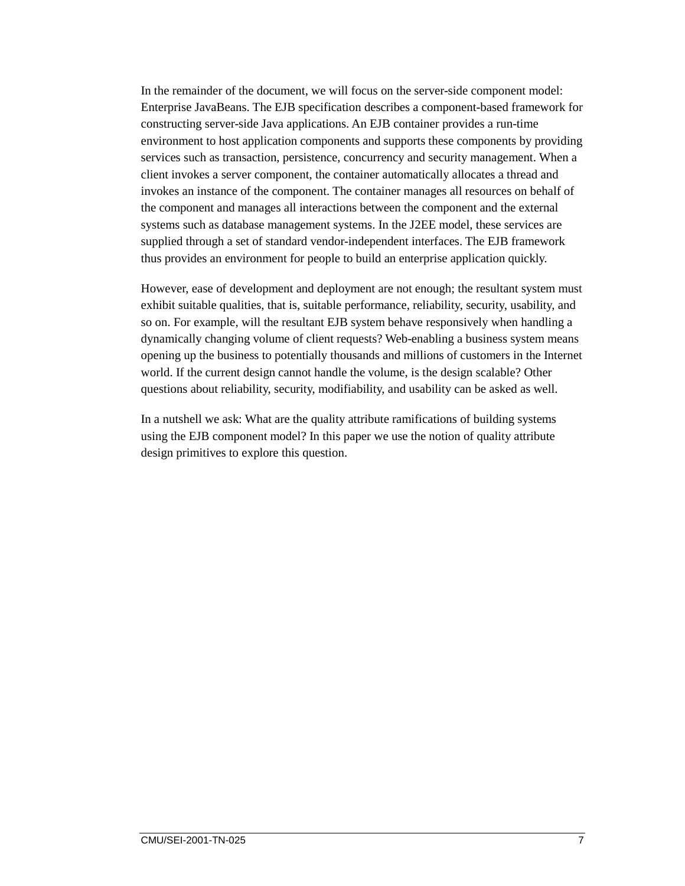In the remainder of the document, we will focus on the server-side component model: Enterprise JavaBeans. The EJB specification describes a component-based framework for constructing server-side Java applications. An EJB container provides a run-time environment to host application components and supports these components by providing services such as transaction, persistence, concurrency and security management. When a client invokes a server component, the container automatically allocates a thread and invokes an instance of the component. The container manages all resources on behalf of the component and manages all interactions between the component and the external systems such as database management systems. In the J2EE model, these services are supplied through a set of standard vendor-independent interfaces. The EJB framework thus provides an environment for people to build an enterprise application quickly.

However, ease of development and deployment are not enough; the resultant system must exhibit suitable qualities, that is, suitable performance, reliability, security, usability, and so on. For example, will the resultant EJB system behave responsively when handling a dynamically changing volume of client requests? Web-enabling a business system means opening up the business to potentially thousands and millions of customers in the Internet world. If the current design cannot handle the volume, is the design scalable? Other questions about reliability, security, modifiability, and usability can be asked as well.

In a nutshell we ask: What are the quality attribute ramifications of building systems using the EJB component model? In this paper we use the notion of quality attribute design primitives to explore this question.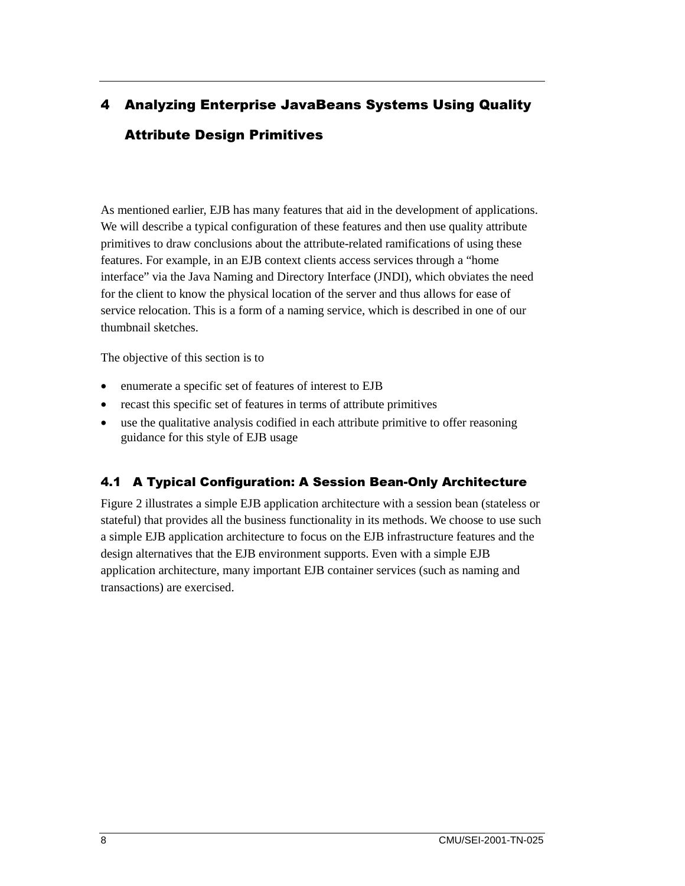## 4 Analyzing Enterprise JavaBeans Systems Using Quality Attribute Design Primitives

As mentioned earlier, EJB has many features that aid in the development of applications. We will describe a typical configuration of these features and then use quality attribute primitives to draw conclusions about the attribute-related ramifications of using these features. For example, in an EJB context clients access services through a "home interface" via the Java Naming and Directory Interface (JNDI), which obviates the need for the client to know the physical location of the server and thus allows for ease of service relocation. This is a form of a naming service, which is described in one of our thumbnail sketches.

The objective of this section is to

- enumerate a specific set of features of interest to EJB
- recast this specific set of features in terms of attribute primitives
- use the qualitative analysis codified in each attribute primitive to offer reasoning guidance for this style of EJB usage

#### 4.1 A Typical Configuration: A Session Bean-Only Architecture

Figure 2 illustrates a simple EJB application architecture with a session bean (stateless or stateful) that provides all the business functionality in its methods. We choose to use such a simple EJB application architecture to focus on the EJB infrastructure features and the design alternatives that the EJB environment supports. Even with a simple EJB application architecture, many important EJB container services (such as naming and transactions) are exercised.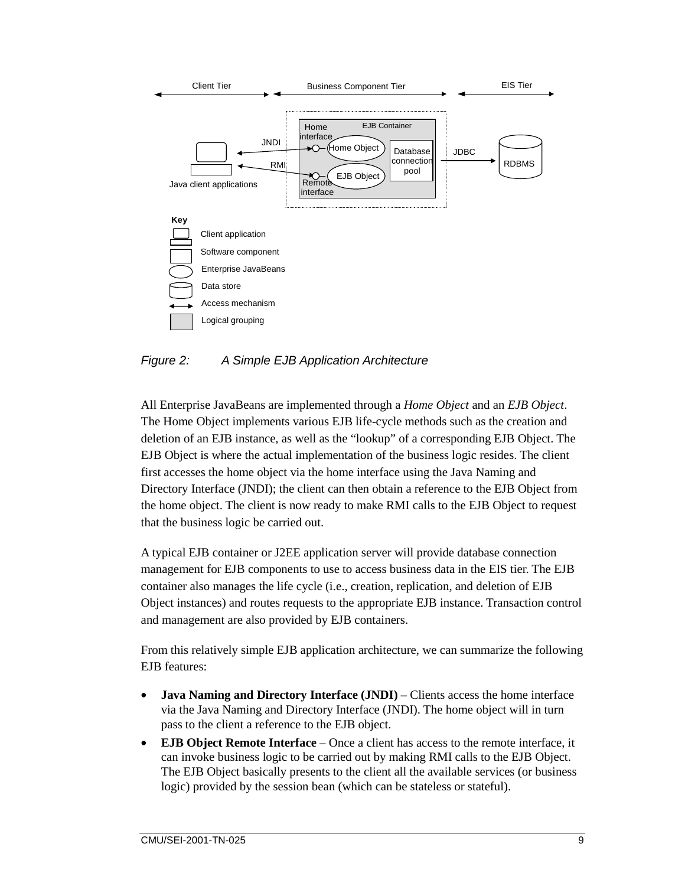

*Figure 2: A Simple EJB Application Architecture* 

All Enterprise JavaBeans are implemented through a *Home Object* and an *EJB Object*. The Home Object implements various EJB life-cycle methods such as the creation and deletion of an EJB instance, as well as the "lookup" of a corresponding EJB Object. The EJB Object is where the actual implementation of the business logic resides. The client first accesses the home object via the home interface using the Java Naming and Directory Interface (JNDI); the client can then obtain a reference to the EJB Object from the home object. The client is now ready to make RMI calls to the EJB Object to request that the business logic be carried out.

A typical EJB container or J2EE application server will provide database connection management for EJB components to use to access business data in the EIS tier. The EJB container also manages the life cycle (i.e., creation, replication, and deletion of EJB Object instances) and routes requests to the appropriate EJB instance. Transaction control and management are also provided by EJB containers.

From this relatively simple EJB application architecture, we can summarize the following EJB features:

- **Java Naming and Directory Interface (JNDI)**  Clients access the home interface via the Java Naming and Directory Interface (JNDI). The home object will in turn pass to the client a reference to the EJB object.
- **EJB Object Remote Interface** Once a client has access to the remote interface, it can invoke business logic to be carried out by making RMI calls to the EJB Object. The EJB Object basically presents to the client all the available services (or business logic) provided by the session bean (which can be stateless or stateful).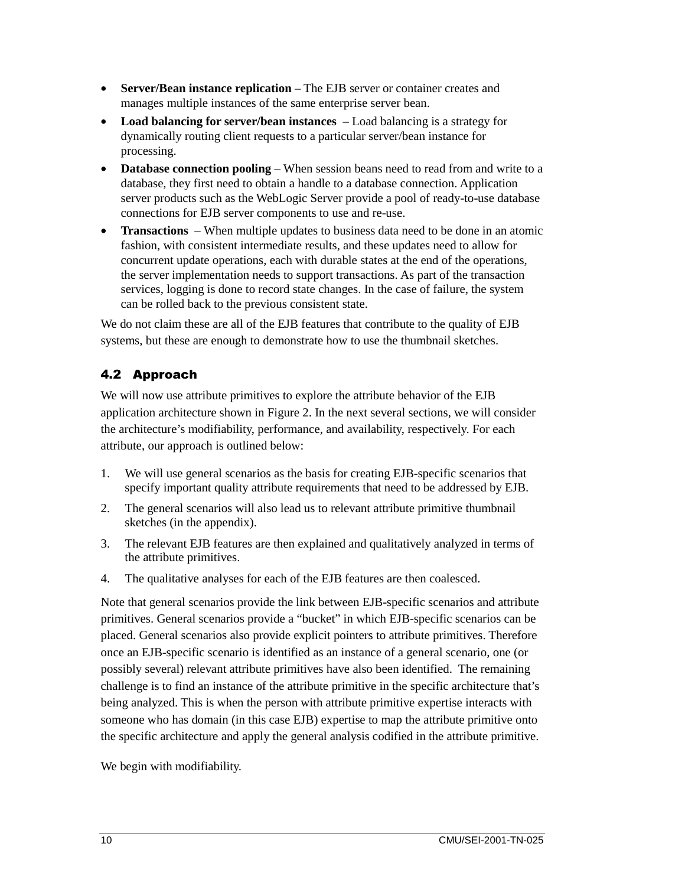- **Server/Bean instance replication** The EJB server or container creates and manages multiple instances of the same enterprise server bean.
- **Load balancing for server/bean instances**  Load balancing is a strategy for dynamically routing client requests to a particular server/bean instance for processing.
- **Database connection pooling** When session beans need to read from and write to a database, they first need to obtain a handle to a database connection. Application server products such as the WebLogic Server provide a pool of ready-to-use database connections for EJB server components to use and re-use.
- **Transactions** When multiple updates to business data need to be done in an atomic fashion, with consistent intermediate results, and these updates need to allow for concurrent update operations, each with durable states at the end of the operations, the server implementation needs to support transactions. As part of the transaction services, logging is done to record state changes. In the case of failure, the system can be rolled back to the previous consistent state.

We do not claim these are all of the EJB features that contribute to the quality of EJB systems, but these are enough to demonstrate how to use the thumbnail sketches.

## 4.2 Approach

We will now use attribute primitives to explore the attribute behavior of the EJB application architecture shown in Figure 2. In the next several sections, we will consider the architecture's modifiability, performance, and availability, respectively. For each attribute, our approach is outlined below:

- 1. We will use general scenarios as the basis for creating EJB-specific scenarios that specify important quality attribute requirements that need to be addressed by EJB.
- 2. The general scenarios will also lead us to relevant attribute primitive thumbnail sketches (in the appendix).
- 3. The relevant EJB features are then explained and qualitatively analyzed in terms of the attribute primitives.
- 4. The qualitative analyses for each of the EJB features are then coalesced.

Note that general scenarios provide the link between EJB-specific scenarios and attribute primitives. General scenarios provide a "bucket" in which EJB-specific scenarios can be placed. General scenarios also provide explicit pointers to attribute primitives. Therefore once an EJB-specific scenario is identified as an instance of a general scenario, one (or possibly several) relevant attribute primitives have also been identified. The remaining challenge is to find an instance of the attribute primitive in the specific architecture that's being analyzed. This is when the person with attribute primitive expertise interacts with someone who has domain (in this case EJB) expertise to map the attribute primitive onto the specific architecture and apply the general analysis codified in the attribute primitive.

We begin with modifiability.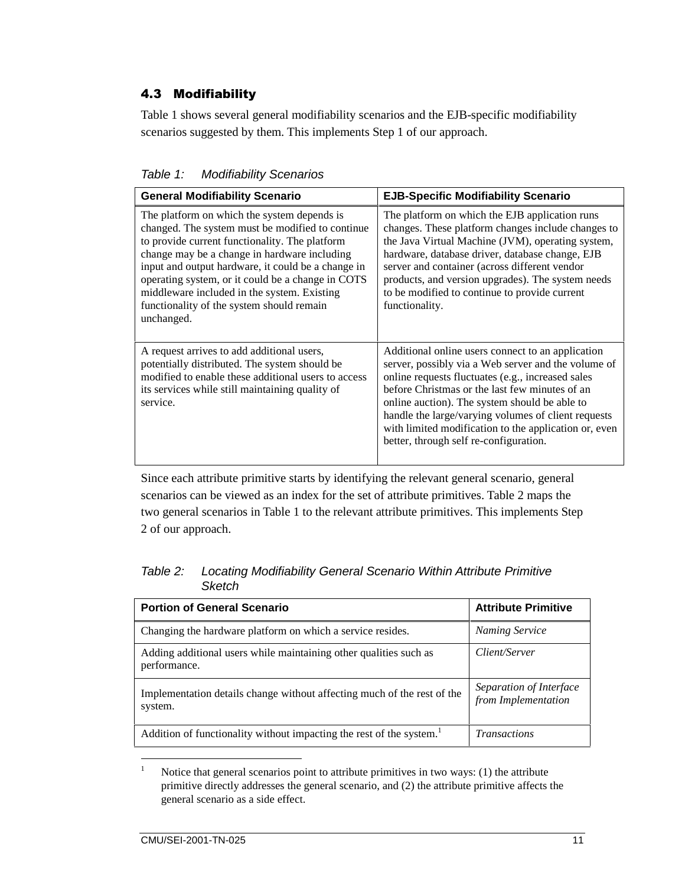#### 4.3 Modifiability

Table 1 shows several general modifiability scenarios and the EJB-specific modifiability scenarios suggested by them. This implements Step 1 of our approach.

| Table 1: | <b>Modifiability Scenarios</b> |  |
|----------|--------------------------------|--|
|----------|--------------------------------|--|

| <b>General Modifiability Scenario</b>                                                                                                                                                                                                                                                                                                                                                                                  | <b>EJB-Specific Modifiability Scenario</b>                                                                                                                                                                                                                                                                                                                                                                                 |
|------------------------------------------------------------------------------------------------------------------------------------------------------------------------------------------------------------------------------------------------------------------------------------------------------------------------------------------------------------------------------------------------------------------------|----------------------------------------------------------------------------------------------------------------------------------------------------------------------------------------------------------------------------------------------------------------------------------------------------------------------------------------------------------------------------------------------------------------------------|
| The platform on which the system depends is<br>changed. The system must be modified to continue<br>to provide current functionality. The platform<br>change may be a change in hardware including<br>input and output hardware, it could be a change in<br>operating system, or it could be a change in COTS<br>middleware included in the system. Existing<br>functionality of the system should remain<br>unchanged. | The platform on which the EJB application runs<br>changes. These platform changes include changes to<br>the Java Virtual Machine (JVM), operating system,<br>hardware, database driver, database change, EJB<br>server and container (across different vendor<br>products, and version upgrades). The system needs<br>to be modified to continue to provide current<br>functionality.                                      |
| A request arrives to add additional users,<br>potentially distributed. The system should be<br>modified to enable these additional users to access<br>its services while still maintaining quality of<br>service.                                                                                                                                                                                                      | Additional online users connect to an application<br>server, possibly via a Web server and the volume of<br>online requests fluctuates (e.g., increased sales<br>before Christmas or the last few minutes of an<br>online auction). The system should be able to<br>handle the large/varying volumes of client requests<br>with limited modification to the application or, even<br>better, through self re-configuration. |

Since each attribute primitive starts by identifying the relevant general scenario, general scenarios can be viewed as an index for the set of attribute primitives. Table 2 maps the two general scenarios in Table 1 to the relevant attribute primitives. This implements Step 2 of our approach.

*Table 2: Locating Modifiability General Scenario Within Attribute Primitive Sketch* 

| <b>Portion of General Scenario</b>                                                 | <b>Attribute Primitive</b>                     |
|------------------------------------------------------------------------------------|------------------------------------------------|
| Changing the hardware platform on which a service resides.                         | <b>Naming Service</b>                          |
| Adding additional users while maintaining other qualities such as<br>performance.  | Client/Server                                  |
| Implementation details change without affecting much of the rest of the<br>system. | Separation of Interface<br>from Implementation |
| Addition of functionality without impacting the rest of the system. <sup>1</sup>   | <b>Transactions</b>                            |

 $\frac{1}{1}$  Notice that general scenarios point to attribute primitives in two ways: (1) the attribute primitive directly addresses the general scenario, and (2) the attribute primitive affects the general scenario as a side effect.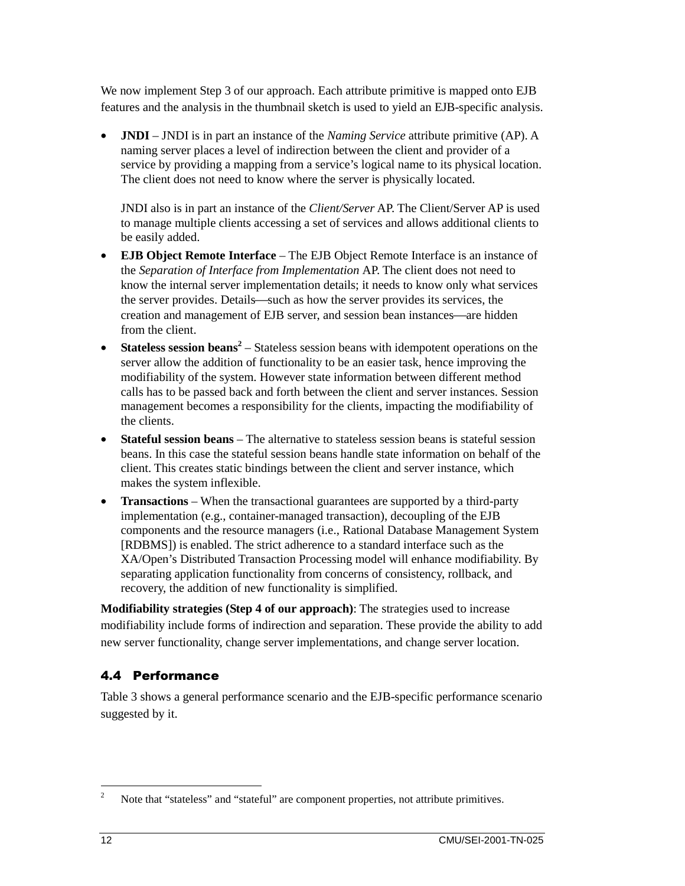We now implement Step 3 of our approach. Each attribute primitive is mapped onto EJB features and the analysis in the thumbnail sketch is used to yield an EJB-specific analysis.

• **JNDI** – JNDI is in part an instance of the *Naming Service* attribute primitive (AP). A naming server places a level of indirection between the client and provider of a service by providing a mapping from a service's logical name to its physical location. The client does not need to know where the server is physically located.

JNDI also is in part an instance of the *Client/Server* AP. The Client/Server AP is used to manage multiple clients accessing a set of services and allows additional clients to be easily added.

- **EJB Object Remote Interface**  The EJB Object Remote Interface is an instance of the *Separation of Interface from Implementation* AP. The client does not need to know the internal server implementation details; it needs to know only what services the server provides. Details—such as how the server provides its services, the creation and management of EJB server, and session bean instances—are hidden from the client.
- **Stateless session beans<sup>2</sup>** Stateless session beans with idempotent operations on the server allow the addition of functionality to be an easier task, hence improving the modifiability of the system. However state information between different method calls has to be passed back and forth between the client and server instances. Session management becomes a responsibility for the clients, impacting the modifiability of the clients.
- **Stateful session beans** The alternative to stateless session beans is stateful session beans. In this case the stateful session beans handle state information on behalf of the client. This creates static bindings between the client and server instance, which makes the system inflexible.
- **Transactions** When the transactional guarantees are supported by a third-party implementation (e.g., container-managed transaction), decoupling of the EJB components and the resource managers (i.e., Rational Database Management System [RDBMS]) is enabled. The strict adherence to a standard interface such as the XA/Open's Distributed Transaction Processing model will enhance modifiability. By separating application functionality from concerns of consistency, rollback, and recovery, the addition of new functionality is simplified.

**Modifiability strategies (Step 4 of our approach)**: The strategies used to increase modifiability include forms of indirection and separation. These provide the ability to add new server functionality, change server implementations, and change server location.

#### 4.4 Performance

Table 3 shows a general performance scenario and the EJB-specific performance scenario suggested by it.

 $\frac{1}{2}$ Note that "stateless" and "stateful" are component properties, not attribute primitives.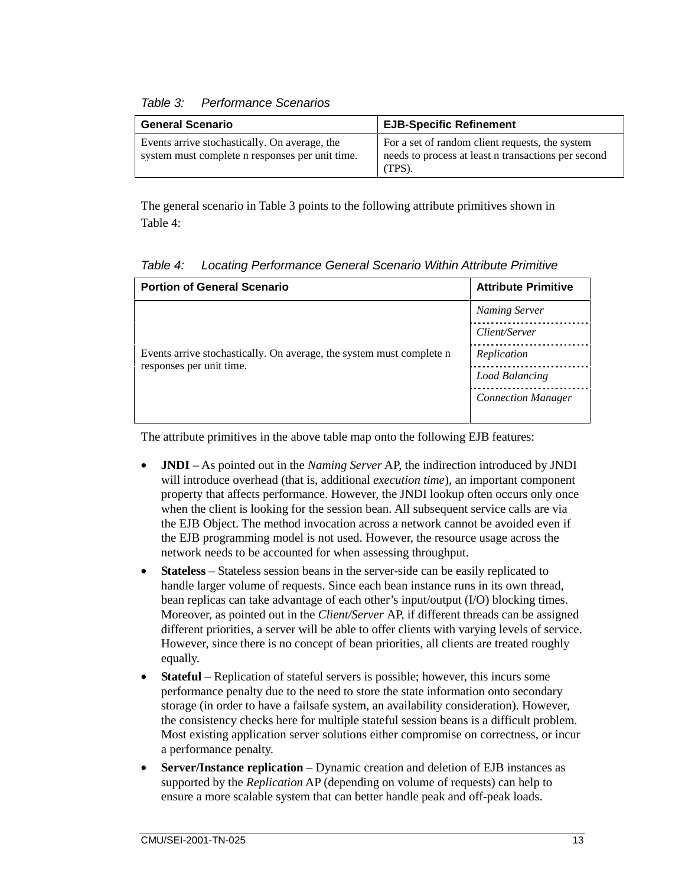#### *Table 3: Performance Scenarios*

| <b>General Scenario</b>                                                                          | <b>EJB-Specific Refinement</b>                                                                                   |
|--------------------------------------------------------------------------------------------------|------------------------------------------------------------------------------------------------------------------|
| Events arrive stochastically. On average, the<br>system must complete n responses per unit time. | For a set of random client requests, the system<br>needs to process at least n transactions per second<br>(TPS). |

The general scenario in Table 3 points to the following attribute primitives shown in Table 4:

| <b>Portion of General Scenario</b>                                   | <b>Attribute Primitive</b> |
|----------------------------------------------------------------------|----------------------------|
|                                                                      | <b>Naming Server</b>       |
|                                                                      | Client/Server              |
| Events arrive stochastically. On average, the system must complete n | Replication                |
| responses per unit time.                                             | Load Balancing             |
|                                                                      | <b>Connection Manager</b>  |

*Table 4: Locating Performance General Scenario Within Attribute Primitive* 

The attribute primitives in the above table map onto the following EJB features:

- **JNDI** As pointed out in the *Naming Server* AP, the indirection introduced by JNDI will introduce overhead (that is, additional *execution time*), an important component property that affects performance. However, the JNDI lookup often occurs only once when the client is looking for the session bean. All subsequent service calls are via the EJB Object. The method invocation across a network cannot be avoided even if the EJB programming model is not used. However, the resource usage across the network needs to be accounted for when assessing throughput.
- **Stateless** Stateless session beans in the server-side can be easily replicated to handle larger volume of requests. Since each bean instance runs in its own thread, bean replicas can take advantage of each other's input/output (I/O) blocking times. Moreover, as pointed out in the *Client/Server* AP, if different threads can be assigned different priorities, a server will be able to offer clients with varying levels of service. However, since there is no concept of bean priorities, all clients are treated roughly equally.
- **Stateful** Replication of stateful servers is possible; however, this incurs some performance penalty due to the need to store the state information onto secondary storage (in order to have a failsafe system, an availability consideration). However, the consistency checks here for multiple stateful session beans is a difficult problem. Most existing application server solutions either compromise on correctness, or incur a performance penalty.
- **Server/Instance replication** Dynamic creation and deletion of EJB instances as supported by the *Replication* AP (depending on volume of requests) can help to ensure a more scalable system that can better handle peak and off-peak loads.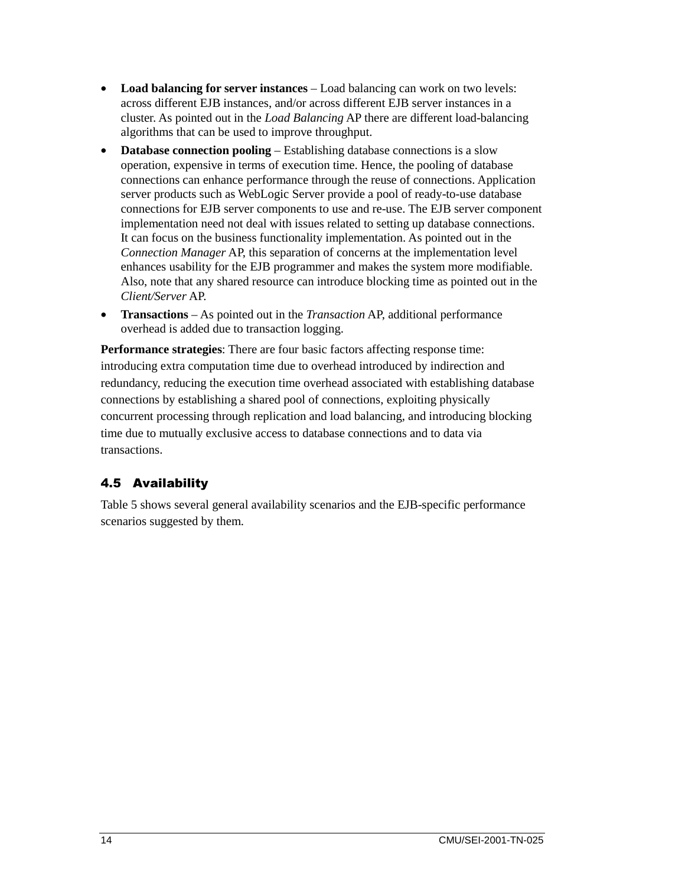- Load balancing for server instances Load balancing can work on two levels: across different EJB instances, and/or across different EJB server instances in a cluster. As pointed out in the *Load Balancing* AP there are different load-balancing algorithms that can be used to improve throughput.
- **Database connection pooling Establishing database connections is a slow** operation, expensive in terms of execution time. Hence, the pooling of database connections can enhance performance through the reuse of connections. Application server products such as WebLogic Server provide a pool of ready-to-use database connections for EJB server components to use and re-use. The EJB server component implementation need not deal with issues related to setting up database connections. It can focus on the business functionality implementation. As pointed out in the *Connection Manager* AP, this separation of concerns at the implementation level enhances usability for the EJB programmer and makes the system more modifiable. Also, note that any shared resource can introduce blocking time as pointed out in the *Client/Server* AP.
- **Transactions**  As pointed out in the *Transaction* AP, additional performance overhead is added due to transaction logging.

**Performance strategies**: There are four basic factors affecting response time: introducing extra computation time due to overhead introduced by indirection and redundancy, reducing the execution time overhead associated with establishing database connections by establishing a shared pool of connections, exploiting physically concurrent processing through replication and load balancing, and introducing blocking time due to mutually exclusive access to database connections and to data via transactions.

## 4.5 Availability

Table 5 shows several general availability scenarios and the EJB-specific performance scenarios suggested by them.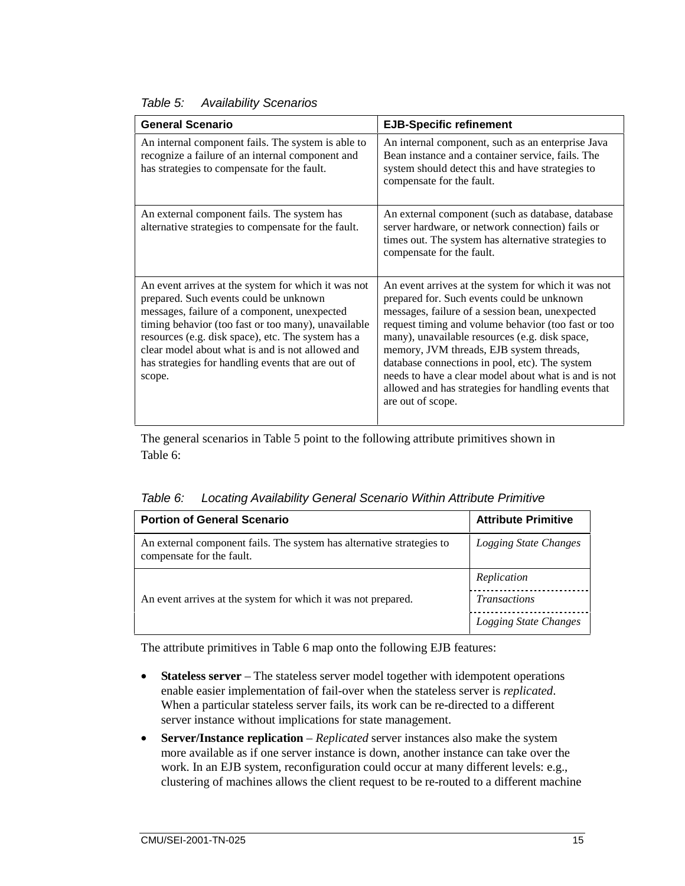| <b>General Scenario</b>                                                                                                                                                                                                                                                                                                                                                        | <b>EJB-Specific refinement</b>                                                                                                                                                                                                                                                                                                                                                                                                                                                                  |
|--------------------------------------------------------------------------------------------------------------------------------------------------------------------------------------------------------------------------------------------------------------------------------------------------------------------------------------------------------------------------------|-------------------------------------------------------------------------------------------------------------------------------------------------------------------------------------------------------------------------------------------------------------------------------------------------------------------------------------------------------------------------------------------------------------------------------------------------------------------------------------------------|
| An internal component fails. The system is able to<br>recognize a failure of an internal component and<br>has strategies to compensate for the fault.                                                                                                                                                                                                                          | An internal component, such as an enterprise Java<br>Bean instance and a container service, fails. The<br>system should detect this and have strategies to<br>compensate for the fault.                                                                                                                                                                                                                                                                                                         |
| An external component fails. The system has<br>alternative strategies to compensate for the fault.                                                                                                                                                                                                                                                                             | An external component (such as database, database<br>server hardware, or network connection) fails or<br>times out. The system has alternative strategies to<br>compensate for the fault.                                                                                                                                                                                                                                                                                                       |
| An event arrives at the system for which it was not<br>prepared. Such events could be unknown<br>messages, failure of a component, unexpected<br>timing behavior (too fast or too many), unavailable<br>resources (e.g. disk space), etc. The system has a<br>clear model about what is and is not allowed and<br>has strategies for handling events that are out of<br>scope. | An event arrives at the system for which it was not<br>prepared for. Such events could be unknown<br>messages, failure of a session bean, unexpected<br>request timing and volume behavior (too fast or too<br>many), unavailable resources (e.g. disk space,<br>memory, JVM threads, EJB system threads,<br>database connections in pool, etc). The system<br>needs to have a clear model about what is and is not<br>allowed and has strategies for handling events that<br>are out of scope. |

*Table 5: Availability Scenarios* 

The general scenarios in Table 5 point to the following attribute primitives shown in Table 6:

|  |  |  | Table 6: Locating Availability General Scenario Within Attribute Primitive |
|--|--|--|----------------------------------------------------------------------------|
|--|--|--|----------------------------------------------------------------------------|

| <b>Portion of General Scenario</b>                                                                 | <b>Attribute Primitive</b> |
|----------------------------------------------------------------------------------------------------|----------------------------|
| An external component fails. The system has alternative strategies to<br>compensate for the fault. | Logging State Changes      |
|                                                                                                    | Replication                |
| An event arrives at the system for which it was not prepared.                                      | <i>Transactions</i>        |
|                                                                                                    | Logging State Changes      |

The attribute primitives in Table 6 map onto the following EJB features:

- **Stateless server** The stateless server model together with idempotent operations enable easier implementation of fail-over when the stateless server is *replicated*. When a particular stateless server fails, its work can be re-directed to a different server instance without implications for state management.
- **Server/Instance replication** *Replicated* server instances also make the system more available as if one server instance is down, another instance can take over the work. In an EJB system, reconfiguration could occur at many different levels: e.g., clustering of machines allows the client request to be re-routed to a different machine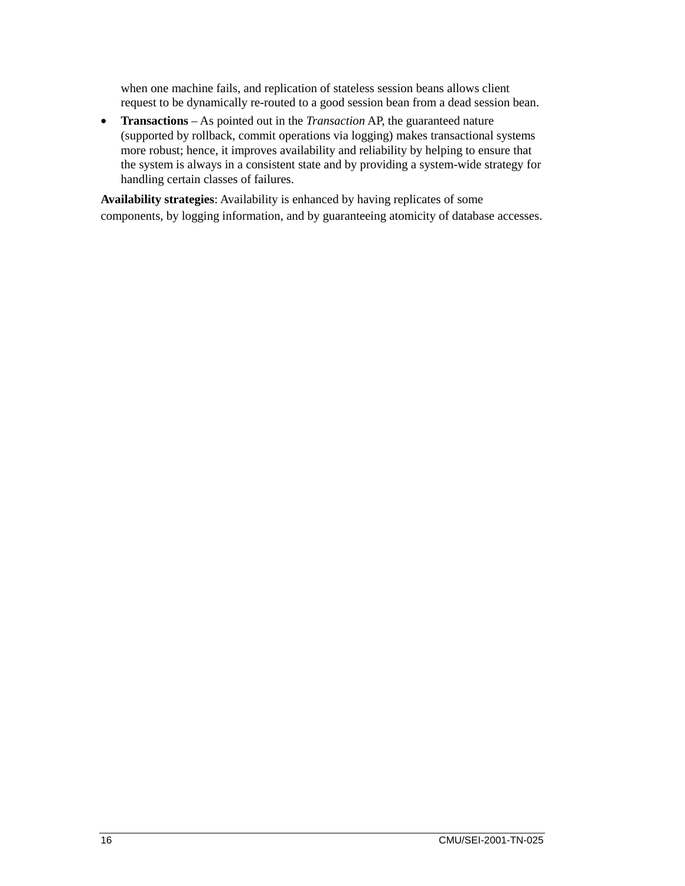when one machine fails, and replication of stateless session beans allows client request to be dynamically re-routed to a good session bean from a dead session bean.

• **Transactions** – As pointed out in the *Transaction* AP, the guaranteed nature (supported by rollback, commit operations via logging) makes transactional systems more robust; hence, it improves availability and reliability by helping to ensure that the system is always in a consistent state and by providing a system-wide strategy for handling certain classes of failures.

**Availability strategies**: Availability is enhanced by having replicates of some components, by logging information, and by guaranteeing atomicity of database accesses.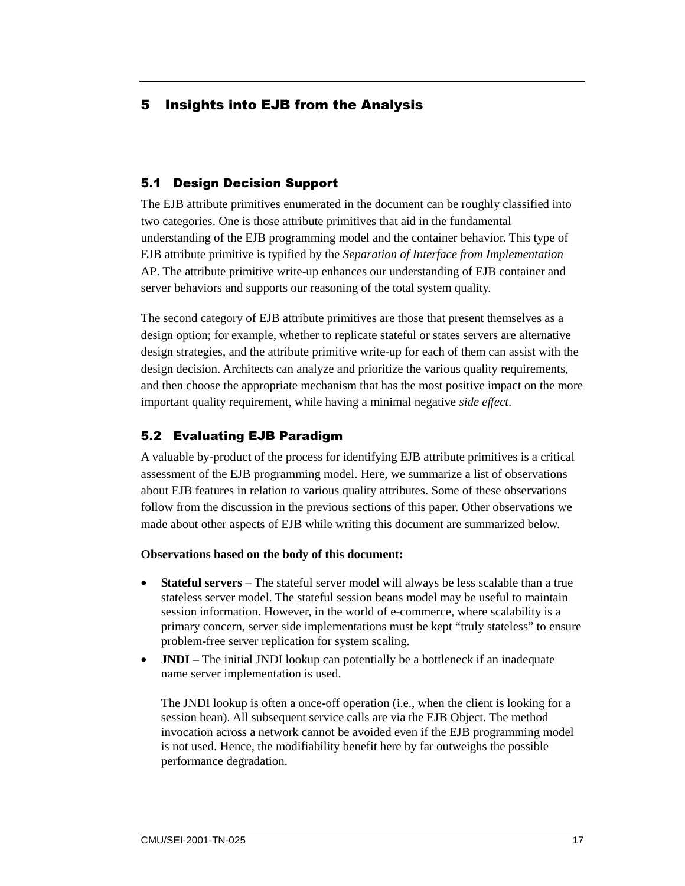#### 5 Insights into EJB from the Analysis

#### 5.1 Design Decision Support

The EJB attribute primitives enumerated in the document can be roughly classified into two categories. One is those attribute primitives that aid in the fundamental understanding of the EJB programming model and the container behavior. This type of EJB attribute primitive is typified by the *Separation of Interface from Implementation*  AP. The attribute primitive write-up enhances our understanding of EJB container and server behaviors and supports our reasoning of the total system quality.

The second category of EJB attribute primitives are those that present themselves as a design option; for example, whether to replicate stateful or states servers are alternative design strategies, and the attribute primitive write-up for each of them can assist with the design decision. Architects can analyze and prioritize the various quality requirements, and then choose the appropriate mechanism that has the most positive impact on the more important quality requirement, while having a minimal negative *side effect*.

#### 5.2 Evaluating EJB Paradigm

A valuable by-product of the process for identifying EJB attribute primitives is a critical assessment of the EJB programming model. Here, we summarize a list of observations about EJB features in relation to various quality attributes. Some of these observations follow from the discussion in the previous sections of this paper. Other observations we made about other aspects of EJB while writing this document are summarized below.

#### **Observations based on the body of this document:**

- **Stateful servers** The stateful server model will always be less scalable than a true stateless server model. The stateful session beans model may be useful to maintain session information. However, in the world of e-commerce, where scalability is a primary concern, server side implementations must be kept "truly stateless" to ensure problem-free server replication for system scaling.
- **JNDI** The initial JNDI lookup can potentially be a bottleneck if an inadequate name server implementation is used.

The JNDI lookup is often a once-off operation (i.e., when the client is looking for a session bean). All subsequent service calls are via the EJB Object. The method invocation across a network cannot be avoided even if the EJB programming model is not used. Hence, the modifiability benefit here by far outweighs the possible performance degradation.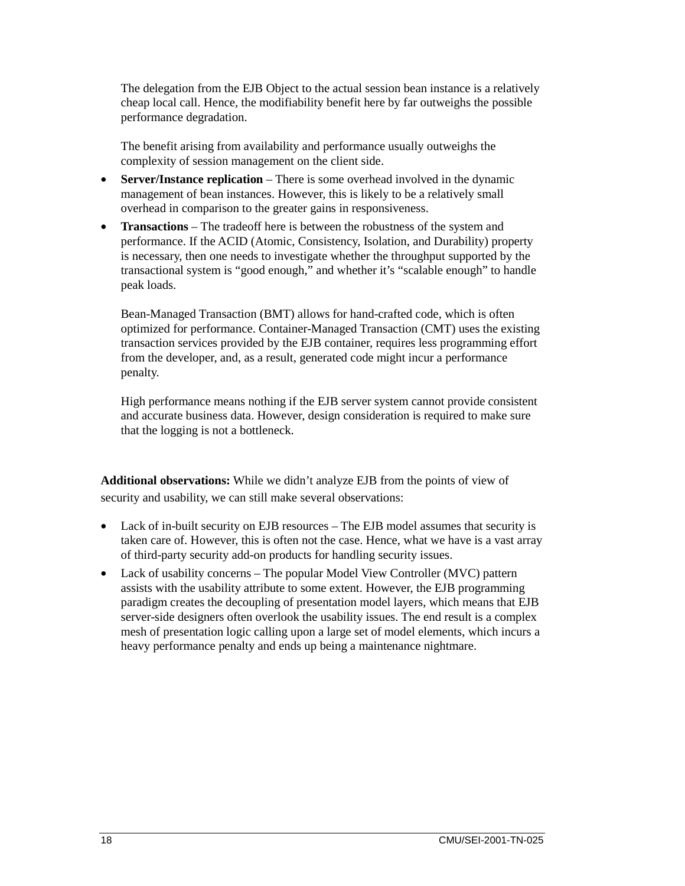The delegation from the EJB Object to the actual session bean instance is a relatively cheap local call. Hence, the modifiability benefit here by far outweighs the possible performance degradation.

The benefit arising from availability and performance usually outweighs the complexity of session management on the client side.

- **Server/Instance replication** There is some overhead involved in the dynamic management of bean instances. However, this is likely to be a relatively small overhead in comparison to the greater gains in responsiveness.
- **Transactions**  The tradeoff here is between the robustness of the system and performance. If the ACID (Atomic, Consistency, Isolation, and Durability) property is necessary, then one needs to investigate whether the throughput supported by the transactional system is "good enough," and whether it's "scalable enough" to handle peak loads.

Bean-Managed Transaction (BMT) allows for hand-crafted code, which is often optimized for performance. Container-Managed Transaction (CMT) uses the existing transaction services provided by the EJB container, requires less programming effort from the developer, and, as a result, generated code might incur a performance penalty.

High performance means nothing if the EJB server system cannot provide consistent and accurate business data. However, design consideration is required to make sure that the logging is not a bottleneck.

**Additional observations:** While we didn't analyze EJB from the points of view of security and usability, we can still make several observations:

- Lack of in-built security on EJB resources The EJB model assumes that security is taken care of. However, this is often not the case. Hence, what we have is a vast array of third-party security add-on products for handling security issues.
- Lack of usability concerns The popular Model View Controller (MVC) pattern assists with the usability attribute to some extent. However, the EJB programming paradigm creates the decoupling of presentation model layers, which means that EJB server-side designers often overlook the usability issues. The end result is a complex mesh of presentation logic calling upon a large set of model elements, which incurs a heavy performance penalty and ends up being a maintenance nightmare.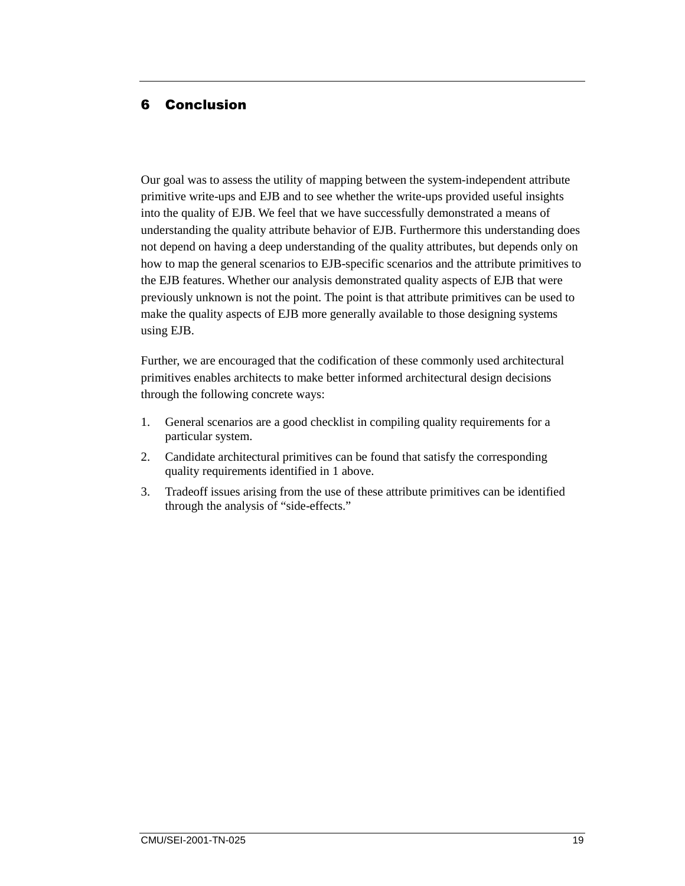#### 6 Conclusion

Our goal was to assess the utility of mapping between the system-independent attribute primitive write-ups and EJB and to see whether the write-ups provided useful insights into the quality of EJB. We feel that we have successfully demonstrated a means of understanding the quality attribute behavior of EJB. Furthermore this understanding does not depend on having a deep understanding of the quality attributes, but depends only on how to map the general scenarios to EJB-specific scenarios and the attribute primitives to the EJB features. Whether our analysis demonstrated quality aspects of EJB that were previously unknown is not the point. The point is that attribute primitives can be used to make the quality aspects of EJB more generally available to those designing systems using EJB.

Further, we are encouraged that the codification of these commonly used architectural primitives enables architects to make better informed architectural design decisions through the following concrete ways:

- 1. General scenarios are a good checklist in compiling quality requirements for a particular system.
- 2. Candidate architectural primitives can be found that satisfy the corresponding quality requirements identified in 1 above.
- 3. Tradeoff issues arising from the use of these attribute primitives can be identified through the analysis of "side-effects."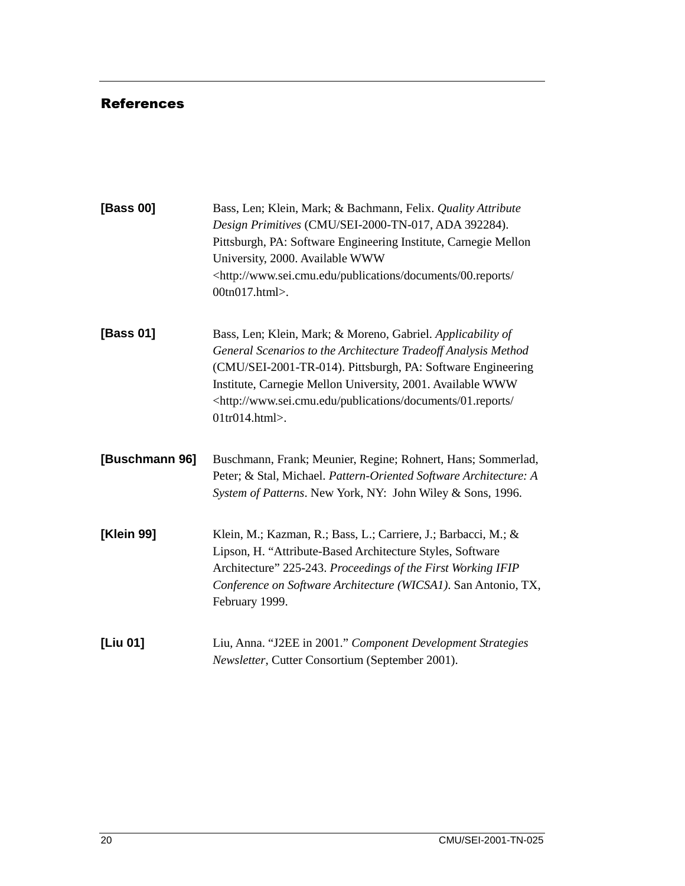#### References

| [Bass 00]      | Bass, Len; Klein, Mark; & Bachmann, Felix. Quality Attribute<br>Design Primitives (CMU/SEI-2000-TN-017, ADA 392284).<br>Pittsburgh, PA: Software Engineering Institute, Carnegie Mellon<br>University, 2000. Available WWW<br><http: 00.reports="" <br="" documents="" publications="" www.sei.cmu.edu="">00tn017.html&gt;.</http:>                                                           |
|----------------|-----------------------------------------------------------------------------------------------------------------------------------------------------------------------------------------------------------------------------------------------------------------------------------------------------------------------------------------------------------------------------------------------|
| [Bass 01]      | Bass, Len; Klein, Mark; & Moreno, Gabriel. Applicability of<br>General Scenarios to the Architecture Tradeoff Analysis Method<br>(CMU/SEI-2001-TR-014). Pittsburgh, PA: Software Engineering<br>Institute, Carnegie Mellon University, 2001. Available WWW<br><http: 01.reports="" <br="" documents="" publications="" www.sei.cmu.edu=""><math>01</math>tr<math>014</math>.html&gt;.</http:> |
| [Buschmann 96] | Buschmann, Frank; Meunier, Regine; Rohnert, Hans; Sommerlad,<br>Peter; & Stal, Michael. Pattern-Oriented Software Architecture: A<br>System of Patterns. New York, NY: John Wiley & Sons, 1996.                                                                                                                                                                                               |
| [Klein 99]     | Klein, M.; Kazman, R.; Bass, L.; Carriere, J.; Barbacci, M.; &<br>Lipson, H. "Attribute-Based Architecture Styles, Software<br>Architecture" 225-243. Proceedings of the First Working IFIP<br>Conference on Software Architecture (WICSA1). San Antonio, TX,<br>February 1999.                                                                                                               |
| [Liu 01]       | Liu, Anna. "J2EE in 2001." Component Development Strategies<br>Newsletter, Cutter Consortium (September 2001).                                                                                                                                                                                                                                                                                |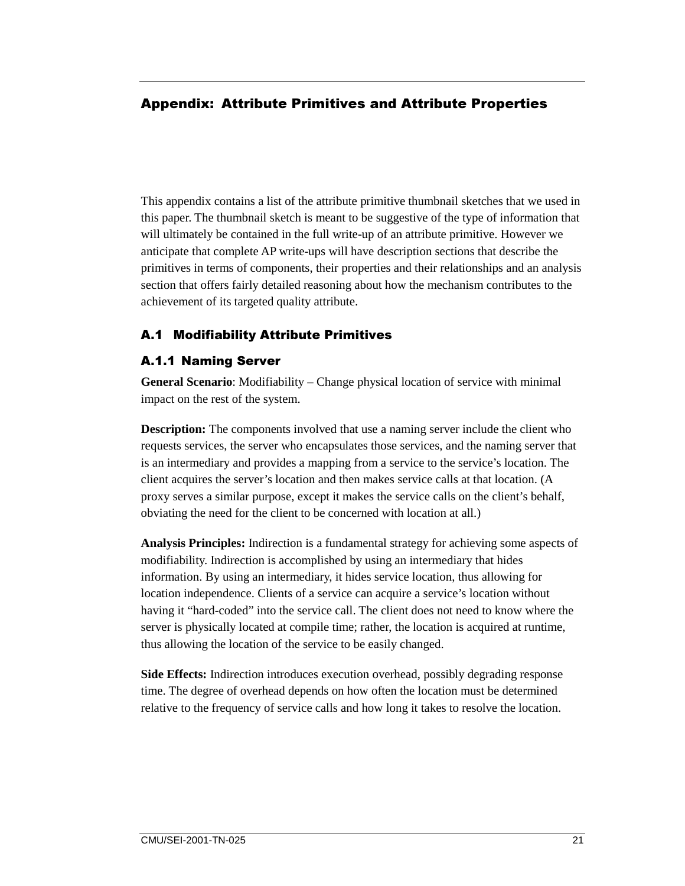#### Appendix: Attribute Primitives and Attribute Properties

This appendix contains a list of the attribute primitive thumbnail sketches that we used in this paper. The thumbnail sketch is meant to be suggestive of the type of information that will ultimately be contained in the full write-up of an attribute primitive. However we anticipate that complete AP write-ups will have description sections that describe the primitives in terms of components, their properties and their relationships and an analysis section that offers fairly detailed reasoning about how the mechanism contributes to the achievement of its targeted quality attribute.

#### **A.1 Modifiability Attribute Primitives**

#### **A.1.1 Naming Server**

**General Scenario**: Modifiability – Change physical location of service with minimal impact on the rest of the system.

**Description:** The components involved that use a naming server include the client who requests services, the server who encapsulates those services, and the naming server that is an intermediary and provides a mapping from a service to the service's location. The client acquires the server's location and then makes service calls at that location. (A proxy serves a similar purpose, except it makes the service calls on the client's behalf, obviating the need for the client to be concerned with location at all.)

**Analysis Principles:** Indirection is a fundamental strategy for achieving some aspects of modifiability. Indirection is accomplished by using an intermediary that hides information. By using an intermediary, it hides service location, thus allowing for location independence. Clients of a service can acquire a service's location without having it "hard-coded" into the service call. The client does not need to know where the server is physically located at compile time; rather, the location is acquired at runtime, thus allowing the location of the service to be easily changed.

**Side Effects:** Indirection introduces execution overhead, possibly degrading response time. The degree of overhead depends on how often the location must be determined relative to the frequency of service calls and how long it takes to resolve the location.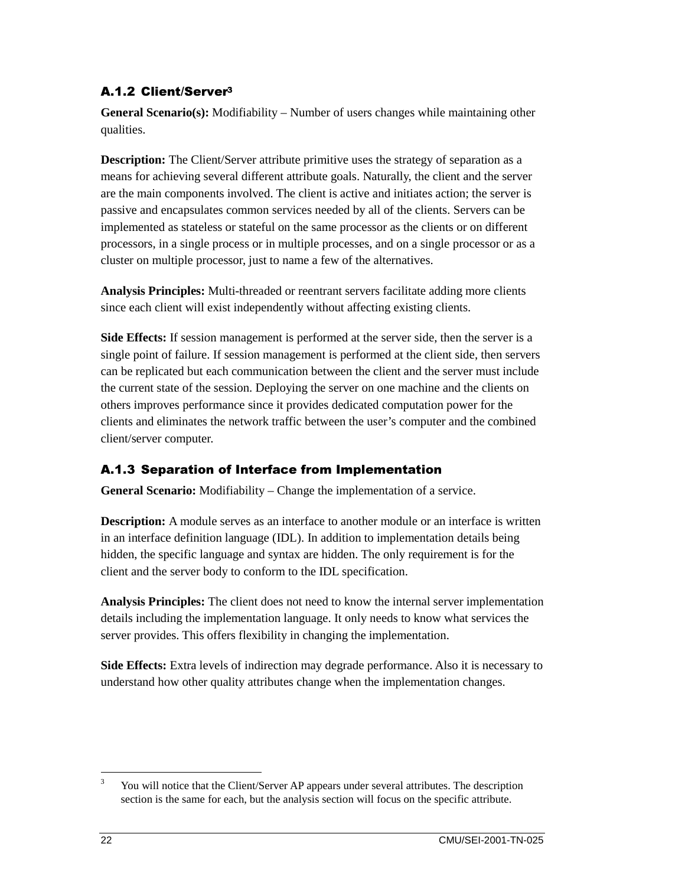## A.1.2 Client/Server<sup>3</sup>

**General Scenario(s):** Modifiability – Number of users changes while maintaining other qualities.

**Description:** The Client/Server attribute primitive uses the strategy of separation as a means for achieving several different attribute goals. Naturally, the client and the server are the main components involved. The client is active and initiates action; the server is passive and encapsulates common services needed by all of the clients. Servers can be implemented as stateless or stateful on the same processor as the clients or on different processors, in a single process or in multiple processes, and on a single processor or as a cluster on multiple processor, just to name a few of the alternatives.

**Analysis Principles:** Multi-threaded or reentrant servers facilitate adding more clients since each client will exist independently without affecting existing clients.

**Side Effects:** If session management is performed at the server side, then the server is a single point of failure. If session management is performed at the client side, then servers can be replicated but each communication between the client and the server must include the current state of the session. Deploying the server on one machine and the clients on others improves performance since it provides dedicated computation power for the clients and eliminates the network traffic between the user's computer and the combined client/server computer.

#### A.1.3 Separation of Interface from Implementation

**General Scenario:** Modifiability – Change the implementation of a service.

**Description:** A module serves as an interface to another module or an interface is written in an interface definition language (IDL). In addition to implementation details being hidden, the specific language and syntax are hidden. The only requirement is for the client and the server body to conform to the IDL specification.

**Analysis Principles:** The client does not need to know the internal server implementation details including the implementation language. It only needs to know what services the server provides. This offers flexibility in changing the implementation.

**Side Effects:** Extra levels of indirection may degrade performance. Also it is necessary to understand how other quality attributes change when the implementation changes.

<sup>&</sup>lt;sup>2</sup><br>3 You will notice that the Client/Server AP appears under several attributes. The description section is the same for each, but the analysis section will focus on the specific attribute.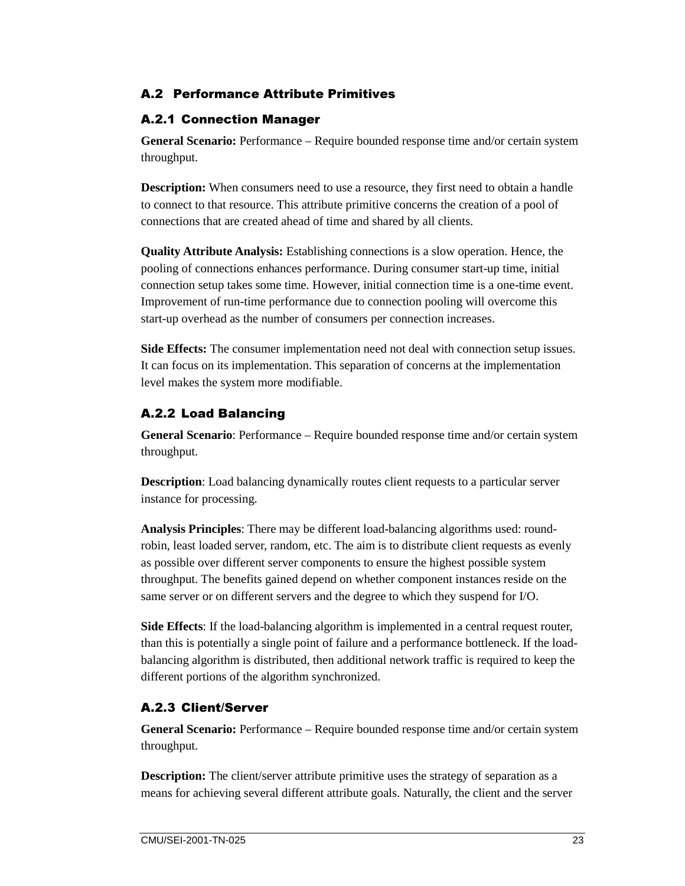#### A.2 Performance Attribute Primitives

#### **A.2.1 Connection Manager**

**General Scenario:** Performance – Require bounded response time and/or certain system throughput.

**Description:** When consumers need to use a resource, they first need to obtain a handle to connect to that resource. This attribute primitive concerns the creation of a pool of connections that are created ahead of time and shared by all clients.

**Quality Attribute Analysis:** Establishing connections is a slow operation. Hence, the pooling of connections enhances performance. During consumer start-up time, initial connection setup takes some time. However, initial connection time is a one-time event. Improvement of run-time performance due to connection pooling will overcome this start-up overhead as the number of consumers per connection increases.

**Side Effects:** The consumer implementation need not deal with connection setup issues. It can focus on its implementation. This separation of concerns at the implementation level makes the system more modifiable.

#### A.2.2 Load Balancing

**General Scenario**: Performance – Require bounded response time and/or certain system throughput.

**Description**: Load balancing dynamically routes client requests to a particular server instance for processing.

**Analysis Principles**: There may be different load-balancing algorithms used: roundrobin, least loaded server, random, etc. The aim is to distribute client requests as evenly as possible over different server components to ensure the highest possible system throughput. The benefits gained depend on whether component instances reside on the same server or on different servers and the degree to which they suspend for I/O.

**Side Effects**: If the load-balancing algorithm is implemented in a central request router, than this is potentially a single point of failure and a performance bottleneck. If the loadbalancing algorithm is distributed, then additional network traffic is required to keep the different portions of the algorithm synchronized.

#### A.2.3 Client/Server

**General Scenario:** Performance – Require bounded response time and/or certain system throughput.

**Description:** The client/server attribute primitive uses the strategy of separation as a means for achieving several different attribute goals. Naturally, the client and the server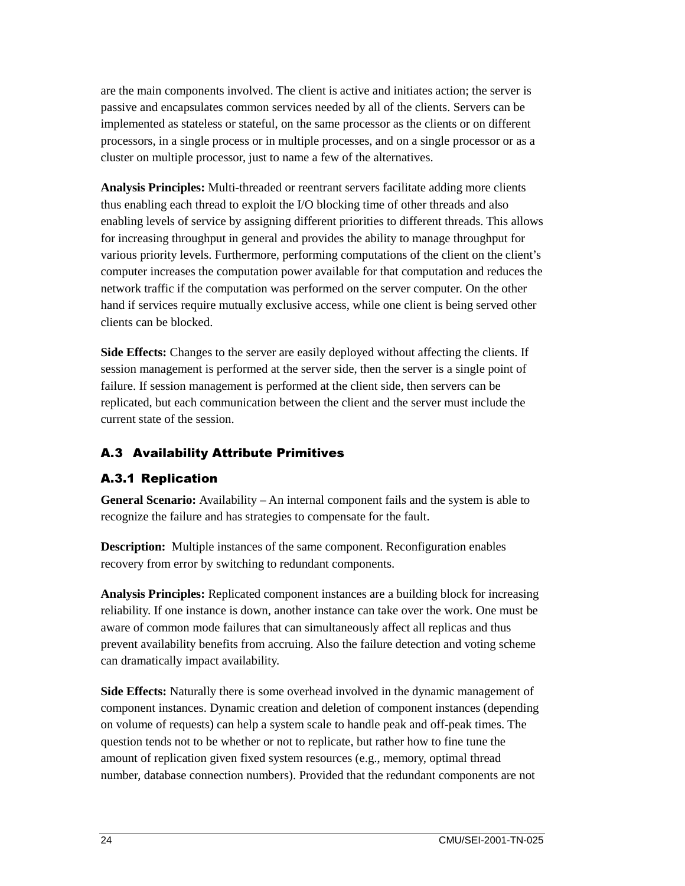are the main components involved. The client is active and initiates action; the server is passive and encapsulates common services needed by all of the clients. Servers can be implemented as stateless or stateful, on the same processor as the clients or on different processors, in a single process or in multiple processes, and on a single processor or as a cluster on multiple processor, just to name a few of the alternatives.

**Analysis Principles:** Multi-threaded or reentrant servers facilitate adding more clients thus enabling each thread to exploit the I/O blocking time of other threads and also enabling levels of service by assigning different priorities to different threads. This allows for increasing throughput in general and provides the ability to manage throughput for various priority levels. Furthermore, performing computations of the client on the client's computer increases the computation power available for that computation and reduces the network traffic if the computation was performed on the server computer. On the other hand if services require mutually exclusive access, while one client is being served other clients can be blocked.

**Side Effects:** Changes to the server are easily deployed without affecting the clients. If session management is performed at the server side, then the server is a single point of failure. If session management is performed at the client side, then servers can be replicated, but each communication between the client and the server must include the current state of the session.

#### **A.3 Availability Attribute Primitives**

#### **A.3.1 Replication**

**General Scenario:** Availability – An internal component fails and the system is able to recognize the failure and has strategies to compensate for the fault.

**Description:** Multiple instances of the same component. Reconfiguration enables recovery from error by switching to redundant components.

**Analysis Principles:** Replicated component instances are a building block for increasing reliability. If one instance is down, another instance can take over the work. One must be aware of common mode failures that can simultaneously affect all replicas and thus prevent availability benefits from accruing. Also the failure detection and voting scheme can dramatically impact availability.

**Side Effects:** Naturally there is some overhead involved in the dynamic management of component instances. Dynamic creation and deletion of component instances (depending on volume of requests) can help a system scale to handle peak and off-peak times. The question tends not to be whether or not to replicate, but rather how to fine tune the amount of replication given fixed system resources (e.g., memory, optimal thread number, database connection numbers). Provided that the redundant components are not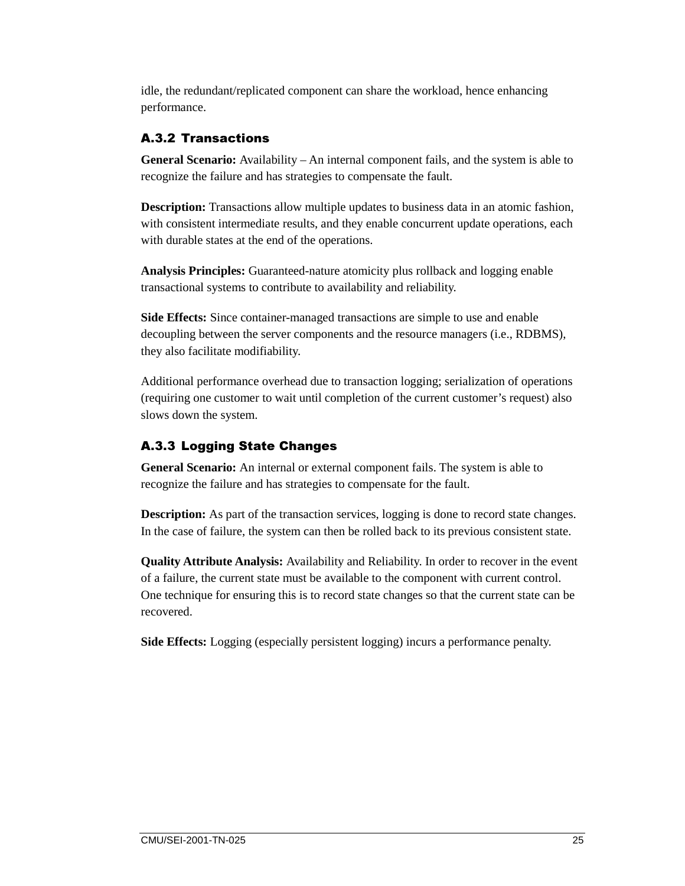idle, the redundant/replicated component can share the workload, hence enhancing performance.

#### A.3.2 Transactions

**General Scenario:** Availability – An internal component fails, and the system is able to recognize the failure and has strategies to compensate the fault.

**Description:** Transactions allow multiple updates to business data in an atomic fashion, with consistent intermediate results, and they enable concurrent update operations, each with durable states at the end of the operations.

**Analysis Principles:** Guaranteed-nature atomicity plus rollback and logging enable transactional systems to contribute to availability and reliability.

**Side Effects:** Since container-managed transactions are simple to use and enable decoupling between the server components and the resource managers (i.e., RDBMS), they also facilitate modifiability.

Additional performance overhead due to transaction logging; serialization of operations (requiring one customer to wait until completion of the current customer's request) also slows down the system.

### A.3.3 Logging State Changes

**General Scenario:** An internal or external component fails. The system is able to recognize the failure and has strategies to compensate for the fault.

**Description:** As part of the transaction services, logging is done to record state changes. In the case of failure, the system can then be rolled back to its previous consistent state.

**Quality Attribute Analysis:** Availability and Reliability. In order to recover in the event of a failure, the current state must be available to the component with current control. One technique for ensuring this is to record state changes so that the current state can be recovered.

**Side Effects:** Logging (especially persistent logging) incurs a performance penalty.